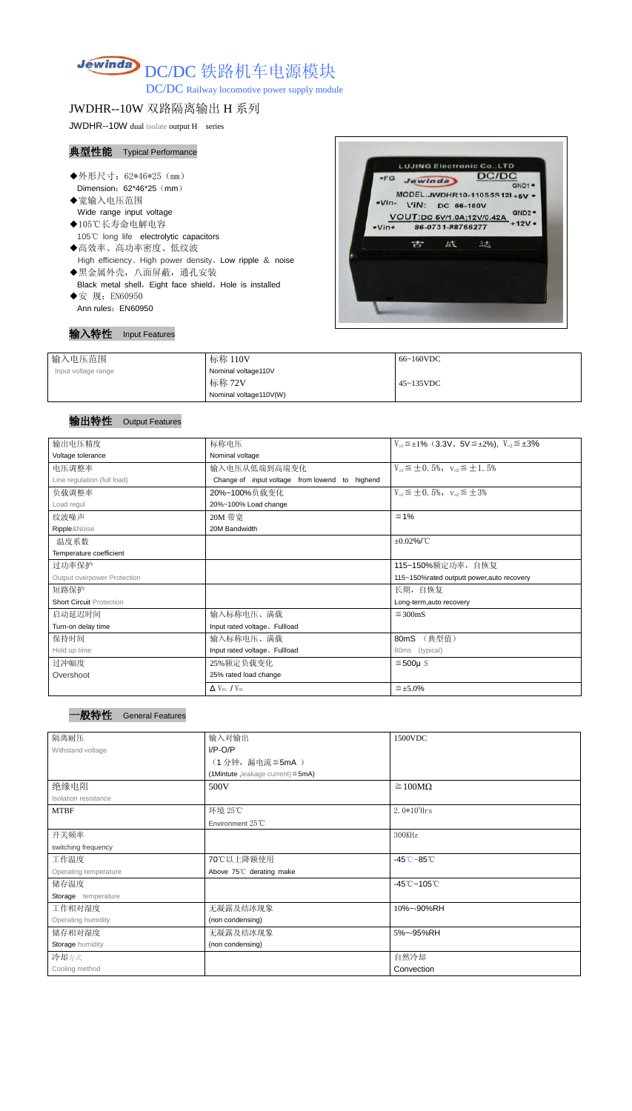# Jewinda DC/DC 铁路机车电源模块

DC/DC Railway locomotive power supply module

## JWDHR--10W 双路隔离输出 H 系列

JWDHR--10W dual isolate output H series

### 典型性能 Typical Performance

- ◆外形尺寸: 62\*46\*25 (mm) Dimension: 62\*46\*25 (mm)
- ◆宽输入电压范围 Wide range input voltage
- ◆105℃长寿命电解电容 105℃ long life electrolytic capacitors
- ◆高效率、高功率密度、低纹波 High efficiency、High power density、Low ripple & noise ◆黑金属外壳,八面屏蔽,通孔安装
- Black metal shell, Eight face shield, Hole is installed
- ◆安 规: EN60950 Ann rules: EN60950



#### 输入特性 Input Features

| 输入电压范围              | 标称 110V                | 66~160VDC |
|---------------------|------------------------|-----------|
| Input voltage range | Nominal voltage110V    |           |
|                     | 标称 72V                 | 45~135VDC |
|                     | Nominal voltage110V(W) |           |

## 输出特性 Output Features

一般特性 General Features

| 输出电压精度                          | 标称电压                                           | $V_{0.1} \leq \pm 1\%$ (3.3V, 5V $\leq \pm 2\%$ ), $V_{0.2} \leq \pm 3\%$ |  |  |
|---------------------------------|------------------------------------------------|---------------------------------------------------------------------------|--|--|
| Voltage tolerance               | Nominal voltage                                |                                                                           |  |  |
| 电压调整率                           | 输入电压从低端到高端变化                                   | $V_{01} \leq \pm 0.5\%$ , $V_{02} \leq \pm 1.5\%$                         |  |  |
| Line regulation (full load)     | Change of input voltage from lowend to highend |                                                                           |  |  |
| 负载调整率                           | 20%~100%负载变化                                   | $V_{01} \leq \pm 0.5\%$ , $V_{02} \leq \pm 3\%$                           |  |  |
| Load regul                      | 20%~100% Load change                           |                                                                           |  |  |
| 纹波噪声                            | 20M 带宽                                         | $\leq 1\%$                                                                |  |  |
| Ripple&Noise                    | 20M Bandwidth                                  |                                                                           |  |  |
| 温度系数                            |                                                | $\pm 0.02\%$ /°C                                                          |  |  |
| Temperature coefficient         |                                                |                                                                           |  |  |
| 过功率保护                           |                                                | 115~150%额定功率, 自恢复                                                         |  |  |
| Output overpower Protection     |                                                | 115~150%rated outputt power, auto recovery                                |  |  |
| 短路保护                            |                                                | 长期,自恢复                                                                    |  |  |
| <b>Short Circuit Protection</b> |                                                | Long-term, auto recovery                                                  |  |  |
| 启动延迟时间                          | 输入标称电压、满载                                      | $\leq$ 300mS                                                              |  |  |
| Turn-on delay time              | Input rated voltage. Fullload                  |                                                                           |  |  |
| 保持时间                            | 输入标称电压、满载                                      | (典型值)<br>80mS                                                             |  |  |
| Hold up time                    | Input rated voltage, Fullload                  | (typical)<br>80ms                                                         |  |  |
| 过冲幅度                            | 25%额定负载变化                                      | $≤500µ$ S                                                                 |  |  |
| Overshoot                       | 25% rated load change                          |                                                                           |  |  |
|                                 | $\Delta$ V <sub>01</sub> /V <sub>01</sub>      | $\leq \pm 5.0\%$                                                          |  |  |

| _____ |  |
|-------|--|
|       |  |
|       |  |

| 隔离耐压                  | 输入对输出                                   | 1500VDC                                    |  |
|-----------------------|-----------------------------------------|--------------------------------------------|--|
| Withstand voltage     | $I/P-O/P$                               |                                            |  |
|                       | (1分钟, 漏电流≦5mA)                          |                                            |  |
|                       | (1Mintute, leakage current) $\leq$ 5mA) |                                            |  |
| 绝缘电阻                  | 500V                                    | $\geq 100M\Omega$                          |  |
| Isolation resistance  |                                         |                                            |  |
| <b>MTBF</b>           | 环境 25℃                                  | $2.0*10^5$ Hrs                             |  |
|                       | Environment $25^{\circ}$ C              |                                            |  |
| 开关频率                  |                                         | 300KHz                                     |  |
| switching frequency   |                                         |                                            |  |
| 工作温度                  | 70℃以上降额使用                               | $-45^{\circ}\text{C} - 85^{\circ}\text{C}$ |  |
| Operating temperature | Above 75°C derating make                |                                            |  |
| 储存温度                  |                                         | $-45^{\circ}$ C ~105 $^{\circ}$ C          |  |
| Storage temperature   |                                         |                                            |  |
| 工作相对湿度                | 无凝露及结冰现象                                | 10%~-90%RH                                 |  |
| Operating humidity    | (non condensing)                        |                                            |  |
| 储存相对湿度                | 无凝露及结冰现象                                | 5%~-95%RH                                  |  |
| Storage humidity      | (non condensing)                        |                                            |  |
| 冷却方式                  |                                         | 自然冷却                                       |  |
| Cooling method        |                                         | Convection                                 |  |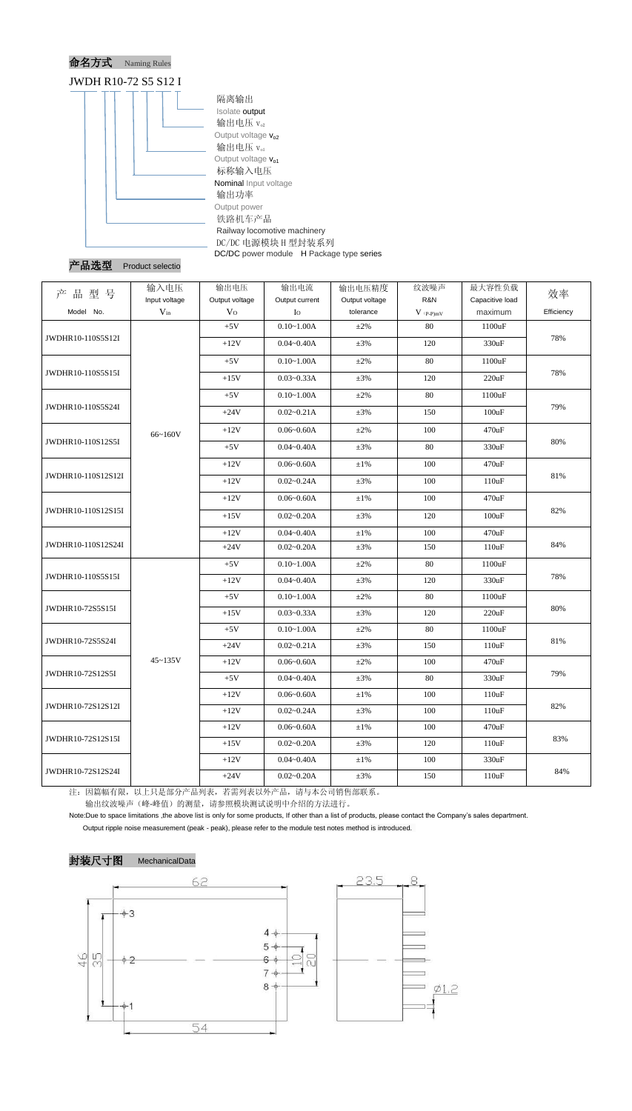



| 型号<br>品<br>产       | 输入电压<br>Input voltage | 输出电压<br>Output voltage | 输出电流<br>Output current | 输出电压精度<br>Output voltage | 纹波噪声<br>R&N                            | 最大容性负载<br>Capacitive load | 效率         |
|--------------------|-----------------------|------------------------|------------------------|--------------------------|----------------------------------------|---------------------------|------------|
| Model No.          | $V_{in}$              | V <sub>O</sub>         | Io                     | tolerance                | $V$ $\mathrm{(}p\text{-}p\mathrm{)}mV$ | maximum                   | Efficiency |
| JWDHR10-110S5S12I  |                       | $+5V$                  | $0.10 - 1.00A$         | $\pm 2\%$                | 80                                     | 1100uF                    | 78%        |
|                    |                       | $+12V$                 | $0.04 - 0.40A$         | $\pm 3\%$                | 120                                    | 330uF                     |            |
|                    |                       | $+5V$                  | $0.10 - 1.00A$         | $\pm 2\%$                | 80                                     | 1100uF                    | 78%        |
| JWDHR10-110S5S15I  |                       | $+15V$                 | $0.03 - 0.33A$         | $\pm 3\%$                | 120                                    | 220uF                     |            |
|                    |                       | $+5V$                  | $0.10 - 1.00A$         | $\pm 2\%$                | 80                                     | 1100uF                    |            |
| JWDHR10-110S5S24I  |                       | $+24V$                 | $0.02 - 0.21A$         | $\pm 3\%$                | 150                                    | 100uF                     | 79%        |
|                    | 66~160V               | $+12V$                 | $0.06 - 0.60A$         | $\pm 2\%$                | 100                                    | 470uF                     |            |
| JWDHR10-110S12S5I  |                       | $+5V$                  | $0.04 - 0.40A$         | $\pm 3\%$                | 80                                     | 330uF                     | 80%        |
|                    |                       | $+12V$                 | $0.06 - 0.60A$         | $\pm 1\%$                | 100                                    | 470uF                     |            |
| JWDHR10-110S12S12I |                       | $+12V$                 | $0.02 - 0.24A$         | $\pm 3\%$                | 100                                    | 110uF                     | 81%        |
|                    |                       | $+12V$                 | $0.06 - 0.60A$         | $\pm 1\%$                | 100                                    | 470uF                     | 82%        |
| JWDHR10-110S12S15I |                       | $+15V$                 | $0.02 - 0.20A$         | $\pm 3\%$                | 120                                    | 100uF                     |            |
|                    |                       | $+12V$                 | $0.04 - 0.40A$         | $\pm 1\%$                | 100                                    | 470uF                     | 84%        |
| JWDHR10-110S12S24I |                       | $+24V$                 | $0.02 - 0.20A$         | $\pm 3\%$                | 150                                    | 110uF                     |            |
|                    | $45 - 135V$           | $+5V$                  | $0.10 - 1.00A$         | $\pm 2\%$                | 80                                     | 1100uF                    | 78%        |
| JWDHR10-110S5S15I  |                       | $+12V$                 | $0.04 - 0.40A$         | $\pm 3\%$                | 120                                    | 330uF                     |            |
|                    |                       | $+5V$                  | $0.10 - 1.00A$         | $\pm 2\%$                | 80                                     | 1100uF                    | $80\%$     |
| JWDHR10-72S5S15I   |                       | $+15V$                 | $0.03 - 0.33A$         | $\pm 3\%$                | 120                                    | 220uF                     |            |
|                    |                       | $+5V$                  | $0.10 - 1.00A$         | $\pm 2\%$                | 80                                     | 1100uF                    | 81%        |
| JWDHR10-72S5S24I   |                       | $+24V$                 | $0.02 - 0.21A$         | $\pm 3\%$                | 150                                    | 110uF                     |            |
| JWDHR10-72S12S5I   |                       | $+12V$                 | $0.06 - 0.60A$         | $\pm 2\%$                | 100                                    | 470uF                     | 79%        |
|                    |                       | $+5V$                  | $0.04 - 0.40A$         | $\pm 3\%$                | 80                                     | 330uF                     |            |
| JWDHR10-72S12S12I  |                       | $+12V$                 | $0.06 - 0.60A$         | $\pm 1\%$                | 100                                    | 110uF                     | 82%        |
|                    |                       | $+12V$                 | $0.02 - 0.24A$         | $\pm 3\%$                | 100                                    | 110uF                     |            |
| JWDHR10-72S12S15I  |                       | $+12V$                 | $0.06 - 0.60A$         | $\pm 1\%$                | 100                                    | 470uF                     | 83%        |
|                    |                       | $+15V$                 | $0.02 - 0.20A$         | $\pm 3\%$                | 120                                    | 110uF                     |            |
|                    |                       | $+12V$                 | $0.04 - 0.40A$         | $\pm 1\%$                | 100                                    | 330uF                     |            |
| JWDHR10-72S12S24I  |                       | $+24V$                 | $0.02 - 0.20A$         | $\pm 3\%$                | 150                                    | 110uF                     | 84%        |

注:因篇幅有限,以上只是部分产品列表,若需列表以外产品,请与本公司销售部联系。

输出纹波噪声(峰-峰值)的测量,请参照模块测试说明中介绍的方法进行。

Note:Due to space limitations ,the above list is only for some products, If other than a list of products, please contact the Company's sales department.

Output ripple noise measurement (peak - peak), please refer to the module test notes method is introduced.